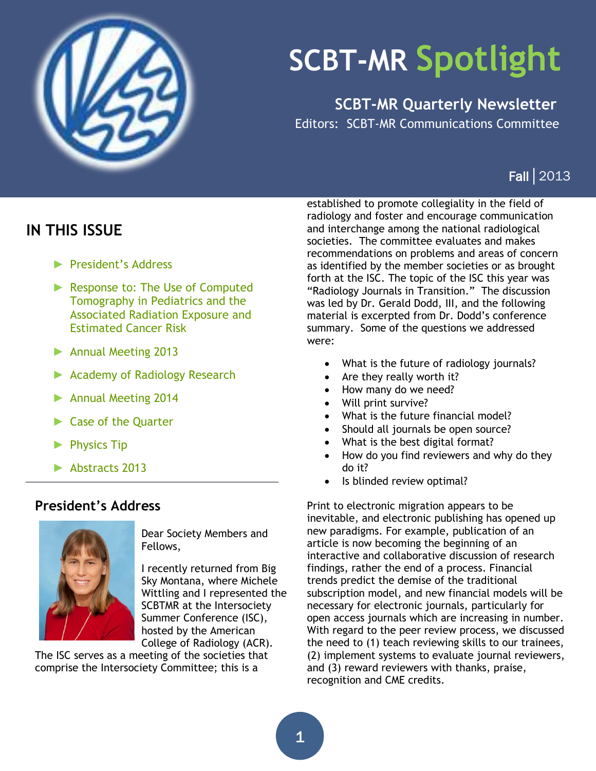

# **SCBT-MR Spotlight**

**SCBT-MR Quarterly Newsletter**

Editors: SCBT-MR Communications Committee

# Fall│2013

# <span id="page-0-1"></span>**IN THIS ISSUE**

- ► [President's](#page-0-0) Address
- ► [Response to: The Use of Computed](#page-1-0)  [Tomography in Pediatrics and the](#page-1-0)  [Associated Radiation Exposure and](#page-1-0)  [Estimated Cancer Risk](#page-1-0)
- ► [Annual Meeting 2013](#page-1-0)
- ► [Academy of Radiology Research](#page-5-0)
- ► [Annual Meeting 2014](#page-4-0)
- [Case of the Quarter](#page-6-0)
- [Physics Tip](#page-7-0)
- ► [Abstracts 2013](#page-8-0)

### <span id="page-0-0"></span>**President's Address**



Dear Society Members and Fellows,

I recently returned from Big Sky Montana, where Michele Wittling and I represented the SCBTMR at the Intersociety Summer Conference (ISC), hosted by the American College of Radiology (ACR).

The ISC serves as a meeting of the societies that comprise the Intersociety Committee; this is a

established to promote collegiality in the field of radiology and foster and encourage communication and interchange among the national radiological societies. The committee evaluates and makes recommendations on problems and areas of concern as identified by the member societies or as brought forth at the ISC. The topic of the ISC this year was "Radiology Journals in Transition." The discussion was led by Dr. Gerald Dodd, III, and the following material is excerpted from Dr. Dodd's conference summary. Some of the questions we addressed were:

- What is the future of radiology journals?
- Are they really worth it?
- How many do we need?
- Will print survive?
- What is the future financial model?
- Should all journals be open source?
- What is the best digital format?
- How do you find reviewers and why do they do it?
- Is blinded review optimal?

Print to electronic migration appears to be inevitable, and electronic publishing has opened up new paradigms. For example, publication of an article is now becoming the beginning of an interactive and collaborative discussion of research findings, rather the end of a process. Financial trends predict the demise of the traditional subscription model, and new financial models will be necessary for electronic journals, particularly for open access journals which are increasing in number. With regard to the peer review process, we discussed the need to (1) teach reviewing skills to our trainees, (2) implement systems to evaluate journal reviewers, and (3) reward reviewers with thanks, praise, recognition and CME credits.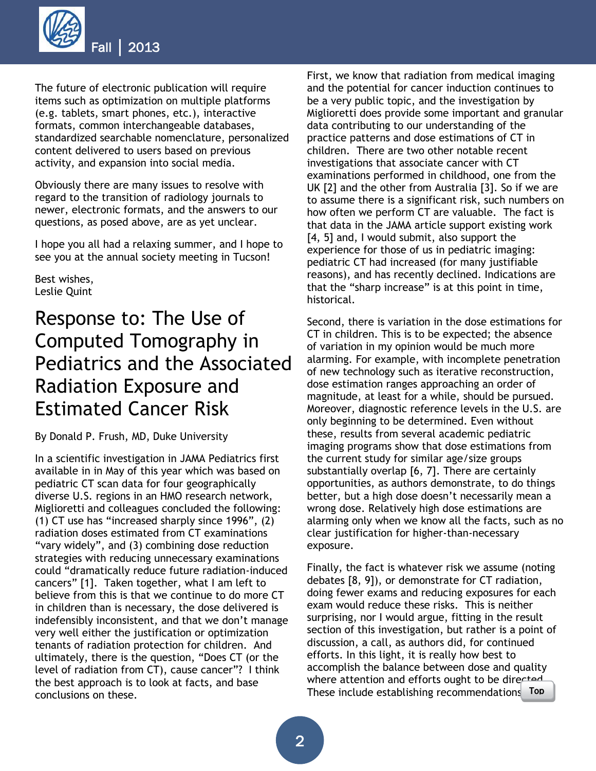

The future of electronic publication will require items such as optimization on multiple platforms (e.g. tablets, smart phones, etc.), interactive formats, common interchangeable databases, standardized searchable nomenclature, personalized content delivered to users based on previous activity, and expansion into social media.

Obviously there are many issues to resolve with regard to the transition of radiology journals to newer, electronic formats, and the answers to our questions, as posed above, are as yet unclear.

I hope you all had a relaxing summer, and I hope to see you at the annual society meeting in Tucson!

Best wishes, Leslie Quint

# <span id="page-1-0"></span>Response to: The Use of Computed Tomography in Pediatrics and the Associated Radiation Exposure and Estimated Cancer Risk

By Donald P. Frush, MD, Duke University

In a scientific investigation in JAMA Pediatrics first available in in May of this year which was based on pediatric CT scan data for four geographically diverse U.S. regions in an HMO research network, Miglioretti and colleagues concluded the following: (1) CT use has "increased sharply since 1996", (2) radiation doses estimated from CT examinations "vary widely", and (3) combining dose reduction strategies with reducing unnecessary examinations could "dramatically reduce future radiation-induced cancers" [1]. Taken together, what I am left to believe from this is that we continue to do more CT in children than is necessary, the dose delivered is indefensibly inconsistent, and that we don't manage very well either the justification or optimization tenants of radiation protection for children. And ultimately, there is the question, "Does CT (or the level of radiation from CT), cause cancer"? I think the best approach is to look at facts, and base conclusions on these.

First, we know that radiation from medical imaging and the potential for cancer induction continues to be a very public topic, and the investigation by Miglioretti does provide some important and granular data contributing to our understanding of the practice patterns and dose estimations of CT in children. There are two other notable recent investigations that associate cancer with CT examinations performed in childhood, one from the UK [2] and the other from Australia [3]. So if we are to assume there is a significant risk, such numbers on how often we perform CT are valuable. The fact is that data in the JAMA article support existing work [4, 5] and, I would submit, also support the experience for those of us in pediatric imaging: pediatric CT had increased (for many justifiable reasons), and has recently declined. Indications are that the "sharp increase" is at this point in time, historical.

Second, there is variation in the dose estimations for CT in children. This is to be expected; the absence of variation in my opinion would be much more alarming. For example, with incomplete penetration of new technology such as iterative reconstruction, dose estimation ranges approaching an order of magnitude, at least for a while, should be pursued. Moreover, diagnostic reference levels in the U.S. are only beginning to be determined. Even without these, results from several academic pediatric imaging programs show that dose estimations from the current study for similar age/size groups substantially overlap [6, 7]. There are certainly opportunities, as authors demonstrate, to do things better, but a high dose doesn't necessarily mean a wrong dose. Relatively high dose estimations are alarming only when we know all the facts, such as no clear justification for higher-than-necessary exposure.

Finally, the fact is whatever risk we assume (noting debates [8, 9]), or demonstrate for CT radiation, doing fewer exams and reducing exposures for each exam would reduce these risks. This is neither surprising, nor I would argue, fitting in the result section of this investigation, but rather is a point of discussion, a call, as authors did, for continued efforts. In this light, it is really how best to accomplish the balance between dose and quality where attention and efforts ought to be directed These include establishing recommendations [Top](#page-0-1) j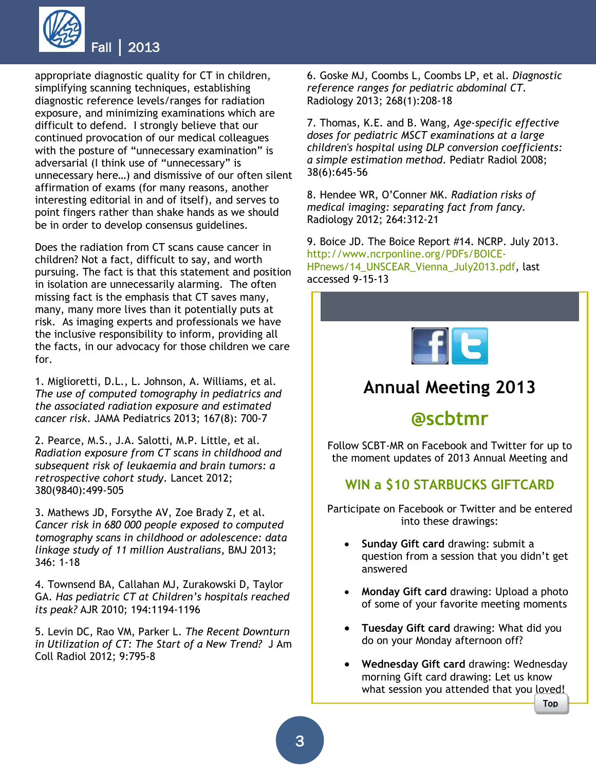

appropriate diagnostic quality for CT in children, simplifying scanning techniques, establishing diagnostic reference levels/ranges for radiation exposure, and minimizing examinations which are difficult to defend. I strongly believe that our continued provocation of our medical colleagues with the posture of "unnecessary examination" is adversarial (I think use of "unnecessary" is unnecessary here…) and dismissive of our often silent affirmation of exams (for many reasons, another interesting editorial in and of itself), and serves to point fingers rather than shake hands as we should be in order to develop consensus guidelines.

Does the radiation from CT scans cause cancer in children? Not a fact, difficult to say, and worth pursuing. The fact is that this statement and position in isolation are unnecessarily alarming. The often missing fact is the emphasis that CT saves many, many, many more lives than it potentially puts at risk. As imaging experts and professionals we have the inclusive responsibility to inform, providing all the facts, in our advocacy for those children we care for.

1. Miglioretti, D.L., L. Johnson, A. Williams, et al. *The use of computed tomography in pediatrics and the associated radiation exposure and estimated cancer risk*. JAMA Pediatrics 2013; 167(8): 700-7

2. Pearce, M.S., J.A. Salotti, M.P. Little, et al. *Radiation exposure from CT scans in childhood and subsequent risk of leukaemia and brain tumors: a retrospective cohort study*. Lancet 2012; 380(9840):499-505

3. Mathews JD, Forsythe AV, Zoe Brady Z, et al. *Cancer risk in 680 000 people exposed to computed tomography scans in childhood or adolescence: data linkage study of 11 million Australians*, BMJ 2013; 346: 1-18

4. Townsend BA, Callahan MJ, Zurakowski D, Taylor GA. *Has pediatric CT at Children's hospitals reached its peak?* AJR 2010; 194:1194-1196

5. Levin DC, Rao VM, Parker L. *The Recent Downturn in Utilization of CT: The Start of a New Trend?* J Am Coll Radiol 2012; 9:795-8

6. Goske MJ, Coombs L, Coombs LP, et al. *Diagnostic reference ranges for pediatric abdominal CT.* Radiology 2013; 268(1):208-18

7. Thomas, K.E. and B. Wang, *Age-specific effective doses for pediatric MSCT examinations at a large children's hospital using DLP conversion coefficients: a simple estimation method*. Pediatr Radiol 2008; 38(6):645-56

8. Hendee WR, O'Conner MK. *Radiation risks of medical imaging: separating fact from fancy.* Radiology 2012; 264:312-21

9. Boice JD. The Boice Report #14. NCRP. July 2013. [http://www.ncrponline.org/PDFs/BOICE-](http://www.ncrponline.org/PDFs/BOICE-HPnews/14_UNSCEAR_Vienna_July2013.pdf)[HPnews/14\\_UNSCEAR\\_Vienna\\_July2013.pdf,](http://www.ncrponline.org/PDFs/BOICE-HPnews/14_UNSCEAR_Vienna_July2013.pdf) last accessed 9-15-13



# **Annual Meeting 2013**

# **@scbtmr**

Follow SCBT-MR on Facebook and Twitter for up to the moment updates of 2013 Annual Meeting and

### **WIN a \$10 STARBUCKS GIFTCARD**

Participate on Facebook or Twitter and be entered into these drawings:

- **Sunday Gift card** drawing: submit a question from a session that you didn't get answered
- **Monday Gift card** drawing: Upload a photo of some of your favorite meeting moments
- **Tuesday Gift card** drawing: What did you do on your Monday afternoon off?
- **Wednesday Gift card** drawing: Wednesday morning Gift card drawing: Let us know what session you attended that you loved!

[Top](#page-0-1)

l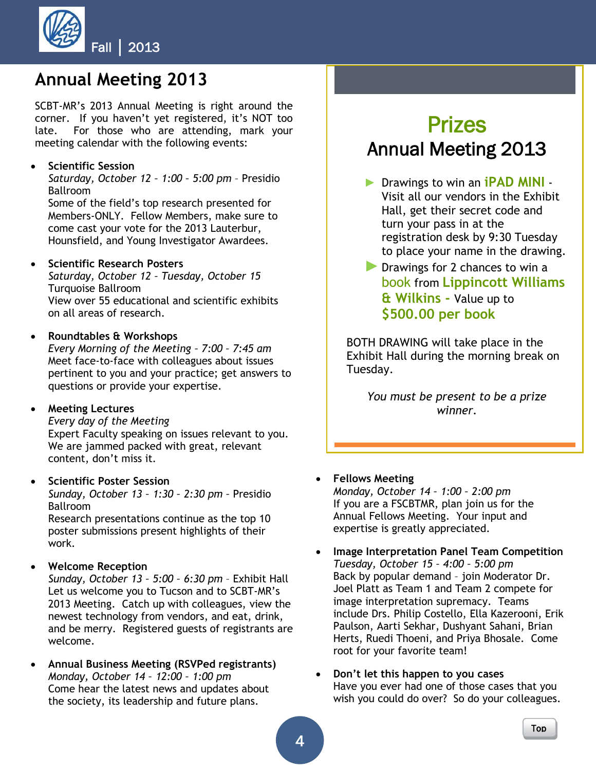

# **Annual Meeting 2013**

SCBT-MR's 2013 Annual Meeting is right around the corner. If you haven't yet registered, it's NOT too late. For those who are attending, mark your meeting calendar with the following events:

### **Scientific Session**

*Saturday, October 12 – 1:00 – 5:00 pm* – Presidio Ballroom

Some of the field's top research presented for Members-ONLY. Fellow Members, make sure to come cast your vote for the 2013 Lauterbur, Hounsfield, and Young Investigator Awardees.

### **•** Scientific Research Posters

*Saturday, October 12 – Tuesday, October 15* Turquoise Ballroom View over 55 educational and scientific exhibits on all areas of research.

### **Roundtables & Workshops**

*Every Morning of the Meeting – 7:00 – 7:45 am* Meet face-to-face with colleagues about issues pertinent to you and your practice; get answers to questions or provide your expertise.

#### **Meeting Lectures**

*Every day of the Meeting*

Expert Faculty speaking on issues relevant to you. We are jammed packed with great, relevant content, don't miss it.

### **Scientific Poster Session**

*Sunday, October 13 – 1:30 – 2:30 pm –* Presidio Ballroom

Research presentations continue as the top 10 poster submissions present highlights of their work.

### **Welcome Reception**

*Sunday, October 13 – 5:00 – 6:30 pm* – Exhibit Hall Let us welcome you to Tucson and to SCBT-MR's 2013 Meeting. Catch up with colleagues, view the newest technology from vendors, and eat, drink, and be merry. Registered guests of registrants are welcome.

 **Annual Business Meeting (RSVPed registrants)** *Monday, October 14 – 12:00 – 1:00 pm* Come hear the latest news and updates about the society, its leadership and future plans.

# Prizes Annual Meeting 2013

- ► Drawings to win an **iPAD MINI** Visit all our vendors in the Exhibit Hall, get their secret code and turn your pass in at the registration desk by 9:30 Tuesday to place your name in the drawing.
- ▶ Drawings for 2 chances to win a book from **Lippincott Williams & Wilkins -** Value up to **\$500.00 per book**

BOTH DRAWING will take place in the Exhibit Hall during the morning break on Tuesday.

*You must be present to be a prize winner.*

l

### **Fellows Meeting**

*Monday, October 14 – 1:00 – 2:00 pm* If you are a FSCBTMR, plan join us for the Annual Fellows Meeting. Your input and expertise is greatly appreciated.

- **Image Interpretation Panel Team Competition** *Tuesday, October 15 – 4:00 – 5:00 pm* Back by popular demand – join Moderator Dr. Joel Platt as Team 1 and Team 2 compete for image interpretation supremacy. Teams include Drs. Philip Costello, Ella Kazerooni, Erik Paulson, Aarti Sekhar, Dushyant Sahani, Brian Herts, Ruedi Thoeni, and Priya Bhosale. Come root for your favorite team!
- **Don't let this happen to you cases** Have you ever had one of those cases that you wish you could do over? So do your colleagues.

l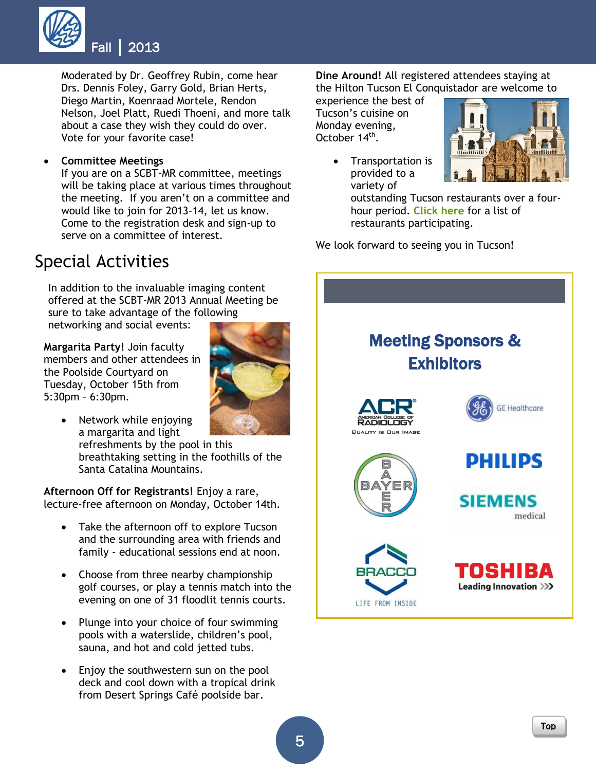

Moderated by Dr. Geoffrey Rubin, come hear Drs. Dennis Foley, Garry Gold, Brian Herts, Diego Martin, Koenraad Mortele, Rendon Nelson, Joel Platt, Ruedi Thoeni, and more talk about a case they wish they could do over. Vote for your favorite case!

**Committee Meetings**

If you are on a SCBT-MR committee, meetings will be taking place at various times throughout the meeting. If you aren't on a committee and would like to join for 2013-14, let us know. Come to the registration desk and sign-up to serve on a committee of interest.

# Special Activities

In addition to the invaluable imaging content offered at the SCBT-MR 2013 Annual Meeting be sure to take advantage of the following networking and social events:

**Margarita Party!** Join faculty members and other attendees in the Poolside Courtyard on Tuesday, October 15th from 5:30pm – 6:30pm.



• Network while enjoying a margarita and light

refreshments by the pool in this breathtaking setting in the foothills of the Santa Catalina Mountains.

**Afternoon Off for Registrants!** Enjoy a rare, lecture-free afternoon on Monday, October 14th.

- Take the afternoon off to explore Tucson and the surrounding area with friends and family - educational sessions end at noon.
- <span id="page-4-0"></span>• Choose from three nearby championship golf courses, or play a tennis match into the evening on one of 31 floodlit tennis courts.
- Plunge into your choice of four swimming pools with a waterslide, children's pool, sauna, and hot and cold jetted tubs.
- Enjoy the southwestern sun on the pool deck and cool down with a tropical drink from Desert Springs Café poolside bar.

**Dine Around!** All registered attendees staying at the Hilton Tucson El Conquistador are welcome to

experience the best of Tucson's cuisine on Monday evening, October 14<sup>th</sup>.



 Transportation is provided to a variety of

> outstanding Tucson restaurants over a fourhour period. **[Click here](http://www.scbtmr.org/associations/10250/files/RESTAURANT%20LIST%20La%20Encantada-Casas%20Adobes.pdf)** for a list of restaurants participating.

We look forward to seeing you in Tucson!

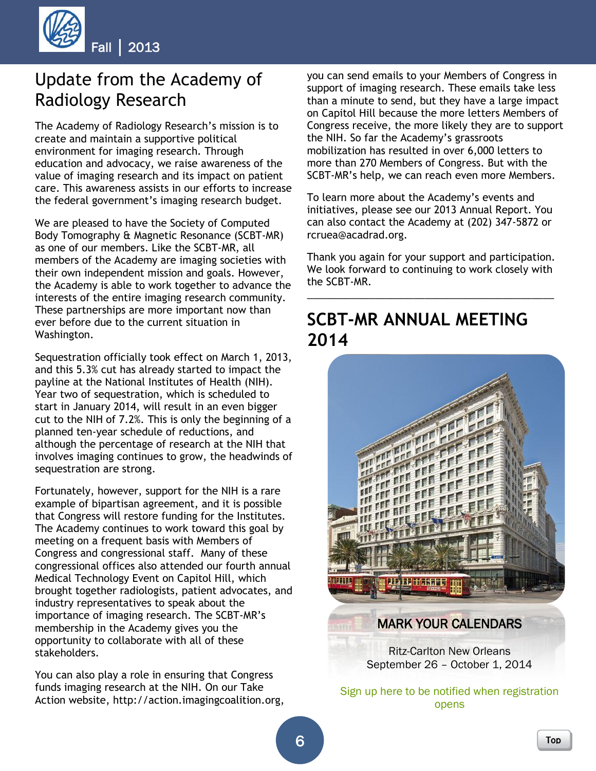

# <span id="page-5-0"></span>Update from the Academy of Radiology Research

The Academy of Radiology Research's mission is to create and maintain a supportive political environment for imaging research. Through education and advocacy, we raise awareness of the value of imaging research and its impact on patient care. This awareness assists in our efforts to increase the federal government's imaging research budget.

We are pleased to have the Society of Computed Body Tomography & Magnetic Resonance (SCBT-MR) as one of our members. Like the SCBT-MR, all members of the Academy are imaging societies with their own independent mission and goals. However, the Academy is able to work together to advance the interests of the entire imaging research community. These partnerships are more important now than ever before due to the current situation in Washington.

Sequestration officially took effect on March 1, 2013, and this 5.3% cut has already started to impact the payline at the National Institutes of Health (NIH). Year two of sequestration, which is scheduled to start in January 2014, will result in an even bigger cut to the NIH of 7.2%. This is only the beginning of a planned ten-year schedule of reductions, and although the percentage of research at the NIH that involves imaging continues to grow, the headwinds of sequestration are strong.

Fortunately, however, support for the NIH is a rare example of bipartisan agreement, and it is possible that Congress will restore funding for the Institutes. The Academy continues to work toward this goal by meeting on a frequent basis with Members of Congress and congressional staff. Many of these congressional offices also attended our fourth annual Medical Technology Event on Capitol Hill, which brought together radiologists, patient advocates, and industry representatives to speak about the importance of imaging research. The SCBT-MR's membership in the Academy gives you the opportunity to collaborate with all of these stakeholders.

You can also play a role in ensuring that Congress funds imaging research at the NIH. On our Take Action website, http://action.imagingcoalition.org, you can send emails to your Members of Congress in support of imaging research. These emails take less than a minute to send, but they have a large impact on Capitol Hill because the more letters Members of Congress receive, the more likely they are to support the NIH. So far the Academy's grassroots mobilization has resulted in over 6,000 letters to more than 270 Members of Congress. But with the SCBT-MR's help, we can reach even more Members.

To learn more about the Academy's events and initiatives, please see our 2013 Annual Report. You can also contact the Academy at (202) 347-5872 or rcruea@acadrad.org.

Thank you again for your support and participation. We look forward to continuing to work closely with the SCBT-MR.

\_\_\_\_\_\_\_\_\_\_\_\_\_\_\_\_\_\_\_\_\_\_\_\_\_\_\_\_\_\_\_\_\_\_\_\_\_\_\_\_\_\_\_\_

# **SCBT-MR ANNUAL MEETING 2014**



[Sign up here to be notified when registration](https://radsociety.wufoo.com/forms/scbtmrs-2014-annual-meeting/)  [opens](https://radsociety.wufoo.com/forms/scbtmrs-2014-annual-meeting/)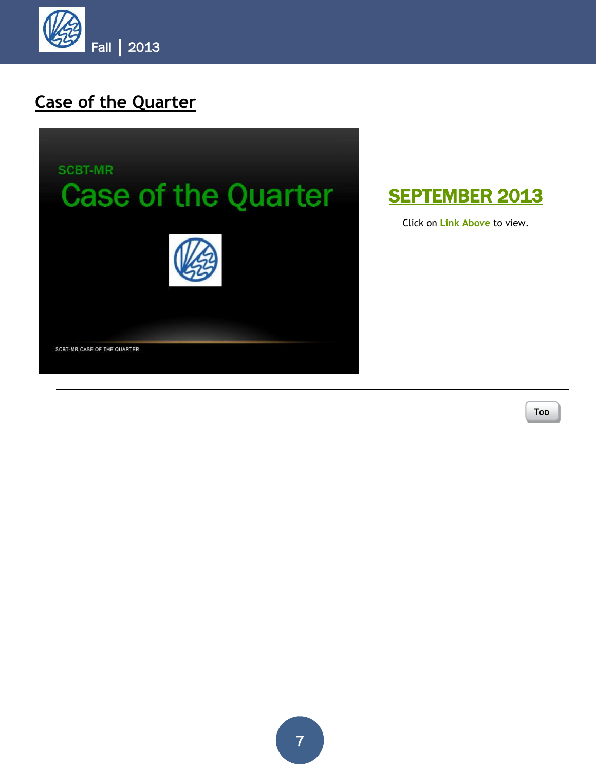<span id="page-6-0"></span>

# **Case of the Quarter**



[SEPTEMBER 2013](http://scbtmr.dnnstaging.com/Education/CaseoftheQuarter/ViewCaseoftheQuarter.aspx) 

Click on **Link Above** to view.

[Top](#page-0-1)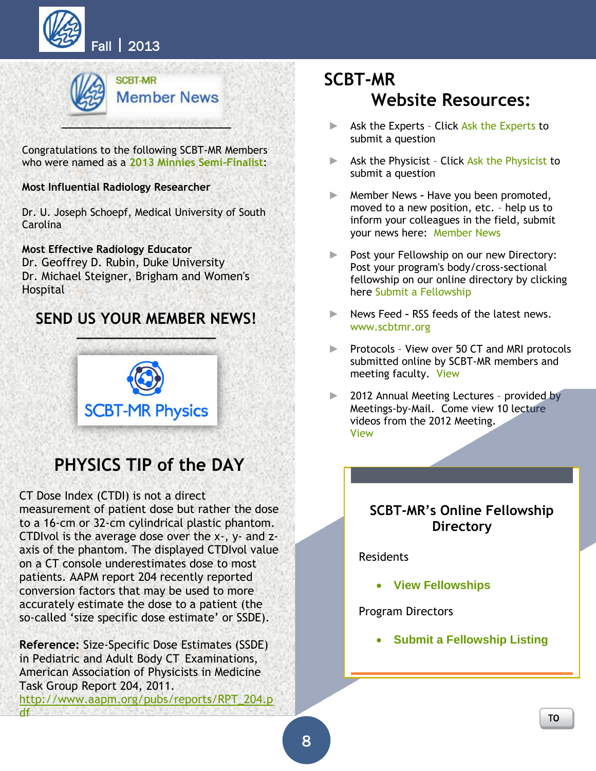



Congratulations to the following SCBT-MR Members who were named as a **2013 Minnies Semi-Finalist**:

### **Most Influential Radiology Researcher**

Dr. U. Joseph Schoepf, Medical University of South Carolina

**Most Effective Radiology Educator** Dr. Geoffrey D. Rubin, Duke University Dr. Michael Steigner, Brigham and Women's **Hospital** 

## **[SEND US YOUR MEMBER NEWS!](https://radsociety.wufoo.com/forms/scbtmrs-member-news/)**



# **PHYSICS TIP of the DAY**

<span id="page-7-0"></span>CT Dose Index (CTDI) is not a direct

measurement of patient dose but rather the dose to a 16-cm or 32-cm cylindrical plastic phantom. CTDIvol is the average dose over the x-, y- and zaxis of the phantom. The displayed CTDIvol value on a CT console underestimates dose to most patients. AAPM report 204 recently reported conversion factors that may be used to more accurately estimate the dose to a patient (the so-called 'size specific dose estimate' or SSDE).

**Reference:** Size-Specific Dose Estimates (SSDE) in Pediatric and Adult Body CT Examinations, American Association of Physicists in Medicine Task Group Report 204, 2011. [http://www.aapm.org/pubs/reports/RPT\\_204.p](http://www.aapm.org/pubs/reports/RPT_204.pdf) [df](http://www.aapm.org/pubs/reports/RPT_204.pdf)

# **SCBT-MR Website Resources:**

- ► [Ask the Experts](http://scbtmr.dnnstaging.com/Members/MemberForms/AsktheExperts.aspx) Click Ask the Experts to submit a question
- ► Ask the Physicist Click [Ask the Physicist](http://scbtmr.dnnstaging.com/Members/MemberForms/AskthePhysicist.aspx) to submit a question
- ► Member News **–** Have you been promoted, moved to a new position, etc. – help us to inform your colleagues in the field, submit your news here: [Member News](http://scbtmr.dnnstaging.com/Members/MemberForms/SubmitMemberNews.aspx)
- ► Post your Fellowship on our new Directory: Post your program's body/cross-sectional fellowship on our online directory by clicking here [Submit a Fellowship](http://scbtmr.dnnstaging.com/Education/Fellowships/SubmitaFellowship.aspx)
- ► News Feed **–** RSS feeds of the latest news. [www.scbtmr.org](http://www.scbtmr.org/)
- ► Protocols View over 50 CT and MRI protocols submitted online by SCBT-MR members and meeting faculty. [View](http://scbtmr.dnnstaging.com/Members/Protocols/ViewProtocols.aspx)
- ► 2012 Annual Meeting Lectures provided by Meetings-by-Mail. Come view 10 lecture videos from the 2012 Meeting. [View](http://scbtmr.dnnstaging.com/Meetings/AnnualMeetingVideoLectures.aspx)

### **SCBT-MR's Online Fellowship Directory**

Residents

**[View Fellowships](http://scbtmr.dnnstaging.com/Education/Fellowships/ViewFellowships.aspx)**

Program Directors

**[Submit a Fellowship Listing](http://scbtmr.dnnstaging.com/Education/Fellowships/SubmitaFellowship.aspx)**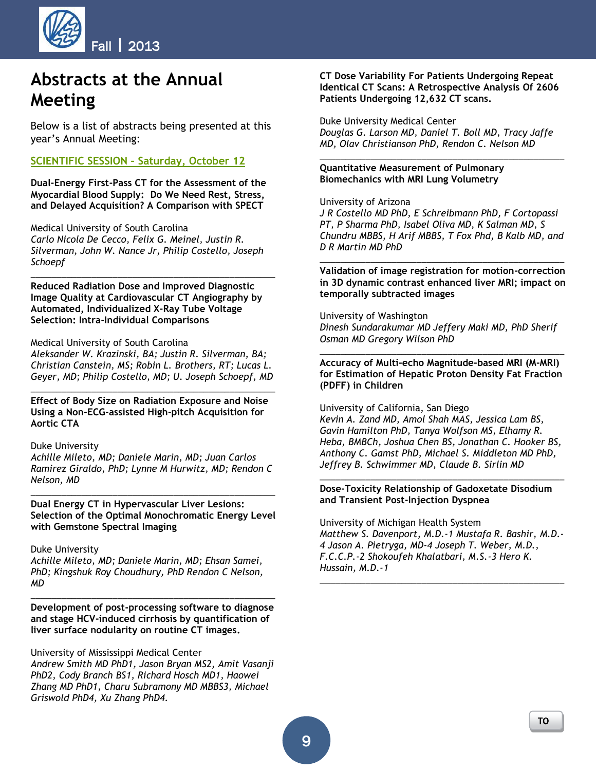

# <span id="page-8-0"></span>**Abstracts at the Annual Meeting**

Below is a list of abstracts being presented at this year's Annual Meeting:

### **SCIENTIFIC SESSION – Saturday, October 12**

**Dual-Energy First-Pass CT for the Assessment of the Myocardial Blood Supply: Do We Need Rest, Stress, and Delayed Acquisition? A Comparison with SPECT**

Medical University of South Carolina *Carlo Nicola De Cecco, Felix G. Meinel, Justin R. Silverman, John W. Nance Jr, Philip Costello, Joseph Schoepf*

*\_\_\_\_\_\_\_\_\_\_\_\_\_\_\_\_\_\_\_\_\_\_\_\_\_\_\_\_\_\_\_\_\_\_\_\_\_\_\_\_\_\_\_\_\_\_\_\_*

**Reduced Radiation Dose and Improved Diagnostic Image Quality at Cardiovascular CT Angiography by Automated, Individualized X-Ray Tube Voltage Selection: Intra-Individual Comparisons**

#### Medical University of South Carolina

*Aleksander W. Krazinski, BA; Justin R. Silverman, BA; Christian Canstein, MS; Robin L. Brothers, RT; Lucas L. Geyer, MD; Philip Costello, MD; U. Joseph Schoepf, MD*

*\_\_\_\_\_\_\_\_\_\_\_\_\_\_\_\_\_\_\_\_\_\_\_\_\_\_\_\_\_\_\_\_\_\_\_\_\_\_\_\_\_\_\_\_\_\_\_\_*

**Effect of Body Size on Radiation Exposure and Noise Using a Non-ECG-assisted High-pitch Acquisition for Aortic CTA**

#### Duke University

*Achille Mileto, MD; Daniele Marin, MD; Juan Carlos Ramirez Giraldo, PhD; Lynne M Hurwitz, MD; Rendon C Nelson, MD*

**Dual Energy CT in Hypervascular Liver Lesions: Selection of the Optimal Monochromatic Energy Level with Gemstone Spectral Imaging**

*\_\_\_\_\_\_\_\_\_\_\_\_\_\_\_\_\_\_\_\_\_\_\_\_\_\_\_\_\_\_\_\_\_\_\_\_\_\_\_\_\_\_\_\_\_\_\_\_*

#### Duke University

*Achille Mileto, MD; Daniele Marin, MD; Ehsan Samei, PhD; Kingshuk Roy Choudhury, PhD Rendon C Nelson, MD*

**Development of post-processing software to diagnose and stage HCV-induced cirrhosis by quantification of liver surface nodularity on routine CT images.**

*\_\_\_\_\_\_\_\_\_\_\_\_\_\_\_\_\_\_\_\_\_\_\_\_\_\_\_\_\_\_\_\_\_\_\_\_\_\_\_\_\_\_\_\_\_\_\_\_*

University of Mississippi Medical Center *Andrew Smith MD PhD1, Jason Bryan MS2, Amit Vasanji PhD2, Cody Branch BS1, Richard Hosch MD1, Haowei Zhang MD PhD1, Charu Subramony MD MBBS3, Michael Griswold PhD4, Xu Zhang PhD4.*

#### **CT Dose Variability For Patients Undergoing Repeat Identical CT Scans: A Retrospective Analysis Of 2606 Patients Undergoing 12,632 CT scans.**

Duke University Medical Center *Douglas G. Larson MD, Daniel T. Boll MD, Tracy Jaffe MD, Olav Christianson PhD, Rendon C. Nelson MD*

*\_\_\_\_\_\_\_\_\_\_\_\_\_\_\_\_\_\_\_\_\_\_\_\_\_\_\_\_\_\_\_\_\_\_\_\_\_\_\_\_\_\_\_\_\_\_\_\_*

#### **Quantitative Measurement of Pulmonary Biomechanics with MRI Lung Volumetry**

#### University of Arizona

*J R Costello MD PhD, E Schreibmann PhD, F Cortopassi PT, P Sharma PhD, Isabel Oliva MD, K Salman MD, S Chundru MBBS, H Arif MBBS, T Fox Phd, B Kalb MD, and D R Martin MD PhD*

**Validation of image registration for motion-correction in 3D dynamic contrast enhanced liver MRI; impact on temporally subtracted images**

*\_\_\_\_\_\_\_\_\_\_\_\_\_\_\_\_\_\_\_\_\_\_\_\_\_\_\_\_\_\_\_\_\_\_\_\_\_\_\_\_\_\_\_\_\_\_\_\_*

University of Washington *Dinesh Sundarakumar MD Jeffery Maki MD, PhD Sherif Osman MD Gregory Wilson PhD*

**Accuracy of Multi-echo Magnitude-based MRI (M-MRI) for Estimation of Hepatic Proton Density Fat Fraction (PDFF) in Children**

*\_\_\_\_\_\_\_\_\_\_\_\_\_\_\_\_\_\_\_\_\_\_\_\_\_\_\_\_\_\_\_\_\_\_\_\_\_\_\_\_\_\_\_\_\_\_\_\_*

University of California, San Diego *Kevin A. Zand MD, Amol Shah MAS, Jessica Lam BS, Gavin Hamilton PhD, Tanya Wolfson MS, Elhamy R. Heba, BMBCh, Joshua Chen BS, Jonathan C. Hooker BS, Anthony C. Gamst PhD, Michael S. Middleton MD PhD, Jeffrey B. Schwimmer MD, Claude B. Sirlin MD*

*\_\_\_\_\_\_\_\_\_\_\_\_\_\_\_\_\_\_\_\_\_\_\_\_\_\_\_\_\_\_\_\_\_\_\_\_\_\_\_\_\_\_\_\_\_\_\_\_*

#### **Dose-Toxicity Relationship of Gadoxetate Disodium and Transient Post-Injection Dyspnea**

University of Michigan Health System *Matthew S. Davenport, M.D.-1 Mustafa R. Bashir, M.D.- 4 Jason A. Pietryga, MD-4 Joseph T. Weber, M.D., F.C.C.P.-2 Shokoufeh Khalatbari, M.S.-3 Hero K. Hussain, M.D.-1*

*\_\_\_\_\_\_\_\_\_\_\_\_\_\_\_\_\_\_\_\_\_\_\_\_\_\_\_\_\_\_\_\_\_\_\_\_\_\_\_\_\_\_\_\_\_\_\_\_*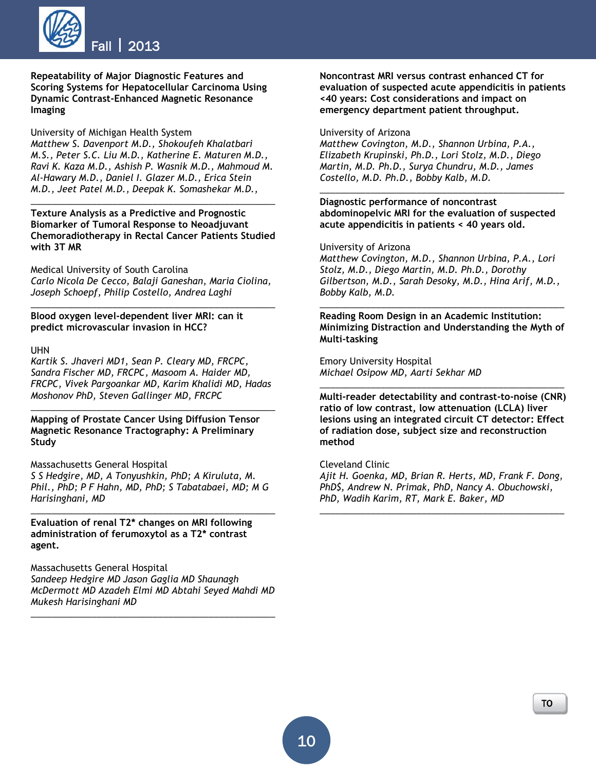

**Repeatability of Major Diagnostic Features and Scoring Systems for Hepatocellular Carcinoma Using Dynamic Contrast-Enhanced Magnetic Resonance Imaging**

University of Michigan Health System *Matthew S. Davenport M.D., Shokoufeh Khalatbari M.S., Peter S.C. Liu M.D., Katherine E. Maturen M.D., Ravi K. Kaza M.D., Ashish P. Wasnik M.D., Mahmoud M. Al-Hawary M.D., Daniel I. Glazer M.D., Erica Stein M.D., Jeet Patel M.D., Deepak K. Somashekar M.D.,*

**Texture Analysis as a Predictive and Prognostic Biomarker of Tumoral Response to Neoadjuvant Chemoradiotherapy in Rectal Cancer Patients Studied with 3T MR**

*\_\_\_\_\_\_\_\_\_\_\_\_\_\_\_\_\_\_\_\_\_\_\_\_\_\_\_\_\_\_\_\_\_\_\_\_\_\_\_\_\_\_\_\_\_\_\_\_*

Medical University of South Carolina *Carlo Nicola De Cecco, Balaji Ganeshan, Maria Ciolina, Joseph Schoepf, Philip Costello, Andrea Laghi*

*\_\_\_\_\_\_\_\_\_\_\_\_\_\_\_\_\_\_\_\_\_\_\_\_\_\_\_\_\_\_\_\_\_\_\_\_\_\_\_\_\_\_\_\_\_\_\_\_*

**Blood oxygen level-dependent liver MRI: can it predict microvascular invasion in HCC?**

UHN

*Kartik S. Jhaveri MD1, Sean P. Cleary MD, FRCPC, Sandra Fischer MD, FRCPC, Masoom A. Haider MD, FRCPC, Vivek Pargoankar MD, Karim Khalidi MD, Hadas Moshonov PhD, Steven Gallinger MD, FRCPC*

*\_\_\_\_\_\_\_\_\_\_\_\_\_\_\_\_\_\_\_\_\_\_\_\_\_\_\_\_\_\_\_\_\_\_\_\_\_\_\_\_\_\_\_\_\_\_\_\_*

**Mapping of Prostate Cancer Using Diffusion Tensor Magnetic Resonance Tractography: A Preliminary Study**

Massachusetts General Hospital

*S S Hedgire, MD, A Tonyushkin, PhD; A Kiruluta, M. Phil., PhD; P F Hahn, MD, PhD; S Tabatabaei, MD; M G Harisinghani, MD*

*\_\_\_\_\_\_\_\_\_\_\_\_\_\_\_\_\_\_\_\_\_\_\_\_\_\_\_\_\_\_\_\_\_\_\_\_\_\_\_\_\_\_\_\_\_\_\_\_*

**Evaluation of renal T2\* changes on MRI following administration of ferumoxytol as a T2\* contrast agent.**

Massachusetts General Hospital *Sandeep Hedgire MD Jason Gaglia MD Shaunagh McDermott MD Azadeh Elmi MD Abtahi Seyed Mahdi MD Mukesh Harisinghani MD*

*\_\_\_\_\_\_\_\_\_\_\_\_\_\_\_\_\_\_\_\_\_\_\_\_\_\_\_\_\_\_\_\_\_\_\_\_\_\_\_\_\_\_\_\_\_\_\_\_*

**Noncontrast MRI versus contrast enhanced CT for evaluation of suspected acute appendicitis in patients <40 years: Cost considerations and impact on emergency department patient throughput.**

University of Arizona

*Matthew Covington, M.D., Shannon Urbina, P.A., Elizabeth Krupinski, Ph.D., Lori Stolz, M.D., Diego Martin, M.D. Ph.D., Surya Chundru, M.D., James Costello, M.D. Ph.D., Bobby Kalb, M.D.*

**Diagnostic performance of noncontrast abdominopelvic MRI for the evaluation of suspected acute appendicitis in patients < 40 years old.**

*\_\_\_\_\_\_\_\_\_\_\_\_\_\_\_\_\_\_\_\_\_\_\_\_\_\_\_\_\_\_\_\_\_\_\_\_\_\_\_\_\_\_\_\_\_\_\_\_*

University of Arizona

*Matthew Covington, M.D., Shannon Urbina, P.A., Lori Stolz, M.D., Diego Martin, M.D. Ph.D., Dorothy Gilbertson, M.D., Sarah Desoky, M.D., Hina Arif, M.D., Bobby Kalb, M.D.*

**Reading Room Design in an Academic Institution: Minimizing Distraction and Understanding the Myth of Multi-tasking**

*\_\_\_\_\_\_\_\_\_\_\_\_\_\_\_\_\_\_\_\_\_\_\_\_\_\_\_\_\_\_\_\_\_\_\_\_\_\_\_\_\_\_\_\_\_\_\_\_*

Emory University Hospital *Michael Osipow MD, Aarti Sekhar MD*

**Multi-reader detectability and contrast-to-noise (CNR) ratio of low contrast, low attenuation (LCLA) liver lesions using an integrated circuit CT detector: Effect of radiation dose, subject size and reconstruction method**

*\_\_\_\_\_\_\_\_\_\_\_\_\_\_\_\_\_\_\_\_\_\_\_\_\_\_\_\_\_\_\_\_\_\_\_\_\_\_\_\_\_\_\_\_\_\_\_\_*

Cleveland Clinic

*Ajit H. Goenka, MD, Brian R. Herts, MD, Frank F. Dong, PhD\$, Andrew N. Primak, PhD, Nancy A. Obuchowski, PhD, Wadih Karim, RT, Mark E. Baker, MD*

*\_\_\_\_\_\_\_\_\_\_\_\_\_\_\_\_\_\_\_\_\_\_\_\_\_\_\_\_\_\_\_\_\_\_\_\_\_\_\_\_\_\_\_\_\_\_\_\_*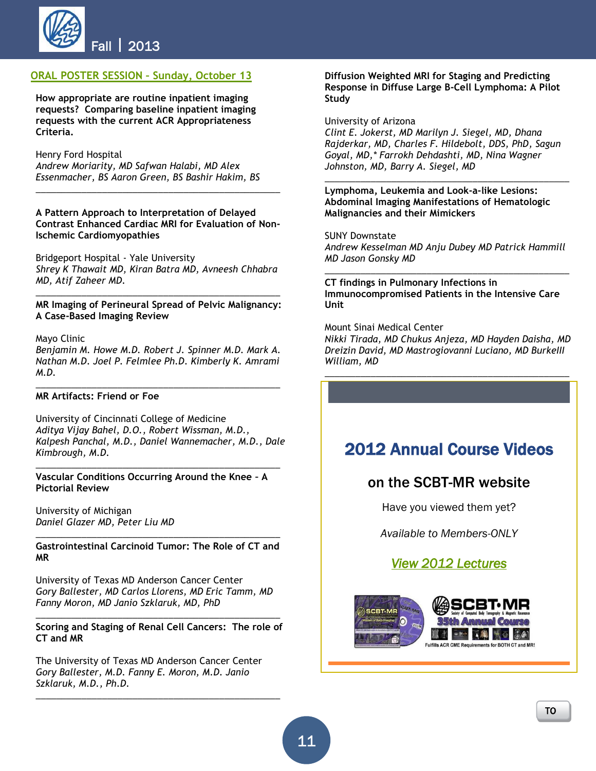

### **ORAL POSTER SESSION – Sunday, October 13**

**How appropriate are routine inpatient imaging requests? Comparing baseline inpatient imaging requests with the current ACR Appropriateness Criteria.**

Henry Ford Hospital

*Andrew Moriarity, MD Safwan Halabi, MD Alex Essenmacher, BS Aaron Green, BS Bashir Hakim, BS*

**A Pattern Approach to Interpretation of Delayed Contrast Enhanced Cardiac MRI for Evaluation of Non-Ischemic Cardiomyopathies**

\_\_\_\_\_\_\_\_\_\_\_\_\_\_\_\_\_\_\_\_\_\_\_\_\_\_\_\_\_\_\_\_\_\_\_\_\_\_\_\_\_\_\_\_\_\_\_\_

Bridgeport Hospital - Yale University *Shrey K Thawait MD, Kiran Batra MD, Avneesh Chhabra MD, Atif Zaheer MD.*

*\_\_\_\_\_\_\_\_\_\_\_\_\_\_\_\_\_\_\_\_\_\_\_\_\_\_\_\_\_\_\_\_\_\_\_\_\_\_\_\_\_\_\_\_\_\_\_\_* **MR Imaging of Perineural Spread of Pelvic Malignancy: A Case-Based Imaging Review**

#### Mayo Clinic

*Benjamin M. Howe M.D. Robert J. Spinner M.D. Mark A. Nathan M.D. Joel P. Felmlee Ph.D. Kimberly K. Amrami M.D.*

*\_\_\_\_\_\_\_\_\_\_\_\_\_\_\_\_\_\_\_\_\_\_\_\_\_\_\_\_\_\_\_\_\_\_\_\_\_\_\_\_\_\_\_\_\_\_\_\_*

#### **MR Artifacts: Friend or Foe**

University of Cincinnati College of Medicine *Aditya Vijay Bahel, D.O., Robert Wissman, M.D., Kalpesh Panchal, M.D., Daniel Wannemacher, M.D., Dale Kimbrough, M.D.*

*\_\_\_\_\_\_\_\_\_\_\_\_\_\_\_\_\_\_\_\_\_\_\_\_\_\_\_\_\_\_\_\_\_\_\_\_\_\_\_\_\_\_\_\_\_\_\_\_*

**Vascular Conditions Occurring Around the Knee – A Pictorial Review**

University of Michigan *Daniel Glazer MD, Peter Liu MD*

*\_\_\_\_\_\_\_\_\_\_\_\_\_\_\_\_\_\_\_\_\_\_\_\_\_\_\_\_\_\_\_\_\_\_\_\_\_\_\_\_\_\_\_\_\_\_\_\_* **Gastrointestinal Carcinoid Tumor: The Role of CT and MR**

University of Texas MD Anderson Cancer Center *Gory Ballester, MD Carlos Llorens, MD Eric Tamm, MD Fanny Moron, MD Janio Szklaruk, MD, PhD*

*\_\_\_\_\_\_\_\_\_\_\_\_\_\_\_\_\_\_\_\_\_\_\_\_\_\_\_\_\_\_\_\_\_\_\_\_\_\_\_\_\_\_\_\_\_\_\_\_* **Scoring and Staging of Renal Cell Cancers: The role of CT and MR**

The University of Texas MD Anderson Cancer Center *Gory Ballester, M.D. Fanny E. Moron, M.D. Janio Szklaruk, M.D., Ph.D.*

*\_\_\_\_\_\_\_\_\_\_\_\_\_\_\_\_\_\_\_\_\_\_\_\_\_\_\_\_\_\_\_\_\_\_\_\_\_\_\_\_\_\_\_\_\_\_\_\_*

#### **Diffusion Weighted MRI for Staging and Predicting Response in Diffuse Large B-Cell Lymphoma: A Pilot Study**

#### University of Arizona

*Clint E. Jokerst, MD Marilyn J. Siegel, MD, Dhana Rajderkar, MD, Charles F. Hildebolt, DDS, PhD, Sagun Goyal, MD,\* Farrokh Dehdashti, MD, Nina Wagner Johnston, MD, Barry A. Siegel, MD* 

*\_\_\_\_\_\_\_\_\_\_\_\_\_\_\_\_\_\_\_\_\_\_\_\_\_\_\_\_\_\_\_\_\_\_\_\_\_\_\_\_\_\_\_\_\_\_\_\_*

**Lymphoma, Leukemia and Look-a-like Lesions: Abdominal Imaging Manifestations of Hematologic Malignancies and their Mimickers**

SUNY Downstate *Andrew Kesselman MD Anju Dubey MD Patrick Hammill MD Jason Gonsky MD*

*\_\_\_\_\_\_\_\_\_\_\_\_\_\_\_\_\_\_\_\_\_\_\_\_\_\_\_\_\_\_\_\_\_\_\_\_\_\_\_\_\_\_\_\_\_\_\_\_*

**CT findings in Pulmonary Infections in Immunocompromised Patients in the Intensive Care Unit**

Mount Sinai Medical Center

*Nikki Tirada, MD Chukus Anjeza, MD Hayden Daisha, MD Dreizin David, MD Mastrogiovanni Luciano, MD BurkeIII William, MD*

*\_\_\_\_\_\_\_\_\_\_\_\_\_\_\_\_\_\_\_\_\_\_\_\_\_\_\_\_\_\_\_\_\_\_\_\_\_\_\_\_\_\_\_\_\_\_\_\_*



*Available to Members-ONLY*

### *[View 2012 Lectures](http://scbtmr.dnnstaging.com/Meetings/AnnualMeetingVideoLectures.aspx)*

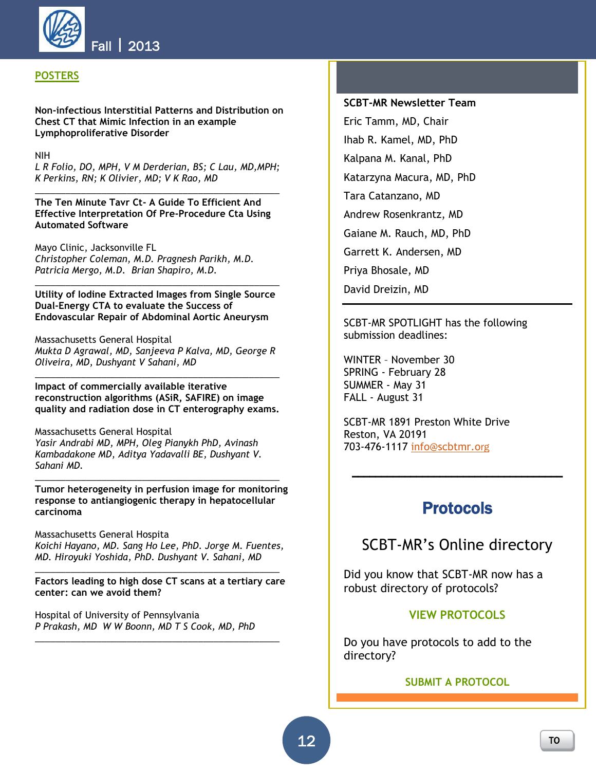

### **POSTERS**

**Non-infectious Interstitial Patterns and Distribution on Chest CT that Mimic Infection in an example Lymphoproliferative Disorder**

NIH

*L R Folio, DO, MPH, V M Derderian, BS; C Lau, MD,MPH; K Perkins, RN; K Olivier, MD; V K Rao, MD \_\_\_\_\_\_\_\_\_\_\_\_\_\_\_\_\_\_\_\_\_\_\_\_\_\_\_\_\_\_\_\_\_\_\_\_\_\_\_\_\_\_\_\_\_\_\_\_*

**The Ten Minute Tavr Ct- A Guide To Efficient And Effective Interpretation Of Pre-Procedure Cta Using Automated Software**

Mayo Clinic, Jacksonville FL *Christopher Coleman, M.D. Pragnesh Parikh, M.D. Patricia Mergo, M.D. Brian Shapiro, M.D.*

**Utility of Iodine Extracted Images from Single Source Dual-Energy CTA to evaluate the Success of Endovascular Repair of Abdominal Aortic Aneurysm**

*\_\_\_\_\_\_\_\_\_\_\_\_\_\_\_\_\_\_\_\_\_\_\_\_\_\_\_\_\_\_\_\_\_\_\_\_\_\_\_\_\_\_\_\_\_\_\_\_*

Massachusetts General Hospital *Mukta D Agrawal, MD, Sanjeeva P Kalva, MD, George R Oliveira, MD, Dushyant V Sahani, MD*

**Impact of commercially available iterative reconstruction algorithms (ASiR, SAFIRE) on image quality and radiation dose in CT enterography exams.**

*\_\_\_\_\_\_\_\_\_\_\_\_\_\_\_\_\_\_\_\_\_\_\_\_\_\_\_\_\_\_\_\_\_\_\_\_\_\_\_\_\_\_\_\_\_\_\_\_*

Massachusetts General Hospital *Yasir Andrabi MD, MPH, Oleg Pianykh PhD, Avinash Kambadakone MD, Aditya Yadavalli BE, Dushyant V. Sahani MD.*

**Tumor heterogeneity in perfusion image for monitoring response to antiangiogenic therapy in hepatocellular carcinoma**

*\_\_\_\_\_\_\_\_\_\_\_\_\_\_\_\_\_\_\_\_\_\_\_\_\_\_\_\_\_\_\_\_\_\_\_\_\_\_\_\_\_\_\_\_\_\_\_\_*

Massachusetts General Hospita *Koichi Hayano, MD. Sang Ho Lee, PhD. Jorge M. Fuentes, MD. Hiroyuki Yoshida, PhD. Dushyant V. Sahani, MD*

*\_\_\_\_\_\_\_\_\_\_\_\_\_\_\_\_\_\_\_\_\_\_\_\_\_\_\_\_\_\_\_\_\_\_\_\_\_\_\_\_\_\_\_\_\_\_\_\_* **Factors leading to high dose CT scans at a tertiary care center: can we avoid them?**

*\_\_\_\_\_\_\_\_\_\_\_\_\_\_\_\_\_\_\_\_\_\_\_\_\_\_\_\_\_\_\_\_\_\_\_\_\_\_\_\_\_\_\_\_\_\_\_\_*

Hospital of University of Pennsylvania *P Prakash, MD W W Boonn, MD T S Cook, MD, PhD*

### **SCBT-MR Newsletter Team**

Eric Tamm, MD, Chair Ihab R. Kamel, MD, PhD Kalpana M. Kanal, PhD Katarzyna Macura, MD, PhD Tara Catanzano, MD Andrew Rosenkrantz, MD Gaiane M. Rauch, MD, PhD Garrett K. Andersen, MD Priya Bhosale, MD David Dreizin, MD

SCBT-MR SPOTLIGHT has the following submission deadlines:

WINTER – November 30 SPRING - February 28 SUMMER - May 31 FALL - August 31

SCBT-MR 1891 Preston White Drive Reston, VA 20191 703-476-1117 [info@scbtmr.o](mailto:info@scbtmr.org)rg

### **Protocols**

\_\_\_\_\_\_\_\_\_\_\_\_\_\_\_\_\_\_\_\_\_\_\_\_\_\_\_\_\_\_\_\_\_\_\_\_

## SCBT-MR's Online directory

Did you know that SCBT-MR now has a robust directory of protocols?

#### **[VIEW PROTOCOLS](http://scbtmr.dnnstaging.com/Members/Protocols/ViewProtocols.aspx)**

Do you have protocols to add to the directory?

#### **[SUBMIT A PROTOCOL](http://scbtmr.dnnstaging.com/Members/Protocols/SubmitaProtocol.aspx)**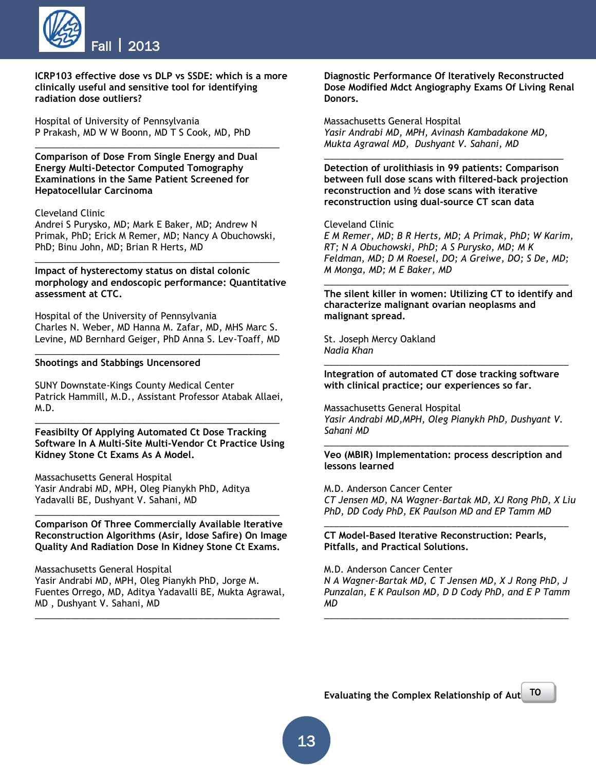

**ICRP103 effective dose vs DLP vs SSDE: which is a more clinically useful and sensitive tool for identifying radiation dose outliers?**

\_\_\_\_\_\_\_\_\_\_\_\_\_\_\_\_\_\_\_\_\_\_\_\_\_\_\_\_\_\_\_\_\_\_\_\_\_\_\_\_\_\_\_\_\_\_\_\_

Hospital of University of Pennsylvania P Prakash, MD W W Boonn, MD T S Cook, MD, PhD

**Comparison of Dose From Single Energy and Dual Energy Multi-Detector Computed Tomography Examinations in the Same Patient Screened for Hepatocellular Carcinoma**

#### Cleveland Clinic

Andrei S Purysko, MD; Mark E Baker, MD; Andrew N Primak, PhD; Erick M Remer, MD; Nancy A Obuchowski, PhD; Binu John, MD; Brian R Herts, MD

\_\_\_\_\_\_\_\_\_\_\_\_\_\_\_\_\_\_\_\_\_\_\_\_\_\_\_\_\_\_\_\_\_\_\_\_\_\_\_\_\_\_\_\_\_\_\_\_

**Impact of hysterectomy status on distal colonic morphology and endoscopic performance: Quantitative assessment at CTC.**

Hospital of the University of Pennsylvania Charles N. Weber, MD Hanna M. Zafar, MD, MHS Marc S. Levine, MD Bernhard Geiger, PhD Anna S. Lev-Toaff, MD

\_\_\_\_\_\_\_\_\_\_\_\_\_\_\_\_\_\_\_\_\_\_\_\_\_\_\_\_\_\_\_\_\_\_\_\_\_\_\_\_\_\_\_\_\_\_\_\_

#### **Shootings and Stabbings Uncensored**

SUNY Downstate-Kings County Medical Center Patrick Hammill, M.D., Assistant Professor Atabak Allaei, M.D.

\_\_\_\_\_\_\_\_\_\_\_\_\_\_\_\_\_\_\_\_\_\_\_\_\_\_\_\_\_\_\_\_\_\_\_\_\_\_\_\_\_\_\_\_\_\_\_\_

**Feasibilty Of Applying Automated Ct Dose Tracking Software In A Multi-Site Multi-Vendor Ct Practice Using Kidney Stone Ct Exams As A Model.**

Massachusetts General Hospital Yasir Andrabi MD, MPH, Oleg Pianykh PhD, Aditya Yadavalli BE, Dushyant V. Sahani, MD

**Comparison Of Three Commercially Available Iterative Reconstruction Algorithms (Asir, Idose Safire) On Image Quality And Radiation Dose In Kidney Stone Ct Exams.**

\_\_\_\_\_\_\_\_\_\_\_\_\_\_\_\_\_\_\_\_\_\_\_\_\_\_\_\_\_\_\_\_\_\_\_\_\_\_\_\_\_\_\_\_\_\_\_\_

Massachusetts General Hospital Yasir Andrabi MD, MPH, Oleg Pianykh PhD, Jorge M. Fuentes Orrego, MD, Aditya Yadavalli BE, Mukta Agrawal, MD , Dushyant V. Sahani, MD

\_\_\_\_\_\_\_\_\_\_\_\_\_\_\_\_\_\_\_\_\_\_\_\_\_\_\_\_\_\_\_\_\_\_\_\_\_\_\_\_\_\_\_\_\_\_\_\_

**Diagnostic Performance Of Iteratively Reconstructed Dose Modified Mdct Angiography Exams Of Living Renal Donors.**

Massachusetts General Hospital *Yasir Andrabi MD, MPH, Avinash Kambadakone MD, Mukta Agrawal MD, Dushyant V. Sahani, MD*

**Detection of urolithiasis in 99 patients: Comparison between full dose scans with filtered-back projection reconstruction and ½ dose scans with iterative reconstruction using dual-source CT scan data**

*\_\_\_\_\_\_\_\_\_\_\_\_\_\_\_\_\_\_\_\_\_\_\_\_\_\_\_\_\_\_\_\_\_\_\_\_\_\_\_\_\_\_\_\_\_\_\_*

#### Cleveland Clinic

*E M Remer, MD; B R Herts, MD; A Primak, PhD; W Karim, RT; N A Obuchowski, PhD; A S Purysko, MD; M K Feldman, MD; D M Roesel, DO; A Greiwe, DO; S De, MD; M Monga, MD; M E Baker, MD*

**The silent killer in women: Utilizing CT to identify and characterize malignant ovarian neoplasms and malignant spread.**

*\_\_\_\_\_\_\_\_\_\_\_\_\_\_\_\_\_\_\_\_\_\_\_\_\_\_\_\_\_\_\_\_\_\_\_\_\_\_\_\_\_\_\_\_\_\_\_\_*

St. Joseph Mercy Oakland *Nadia Khan*

**Integration of automated CT dose tracking software with clinical practice; our experiences so far.**

*\_\_\_\_\_\_\_\_\_\_\_\_\_\_\_\_\_\_\_\_\_\_\_\_\_\_\_\_\_\_\_\_\_\_\_\_\_\_\_\_\_\_\_\_\_\_\_\_*

Massachusetts General Hospital *Yasir Andrabi MD,MPH, Oleg Pianykh PhD, Dushyant V. Sahani MD*

**Veo (MBIR) Implementation: process description and lessons learned**

*\_\_\_\_\_\_\_\_\_\_\_\_\_\_\_\_\_\_\_\_\_\_\_\_\_\_\_\_\_\_\_\_\_\_\_\_\_\_\_\_\_\_\_\_\_\_\_\_*

M.D. Anderson Cancer Center *CT Jensen MD, NA Wagner-Bartak MD, XJ Rong PhD, X Liu PhD, DD Cody PhD, EK Paulson MD and EP Tamm MD*

*\_\_\_\_\_\_\_\_\_\_\_\_\_\_\_\_\_\_\_\_\_\_\_\_\_\_\_\_\_\_\_\_\_\_\_\_\_\_\_\_\_\_\_\_\_\_\_\_*

**CT Model-Based Iterative Reconstruction: Pearls, Pitfalls, and Practical Solutions.**

M.D. Anderson Cancer Center *N A Wagner-Bartak MD, C T Jensen MD, X J Rong PhD, J Punzalan, E K Paulson MD, D D Cody PhD, and E P Tamm MD*

*\_\_\_\_\_\_\_\_\_\_\_\_\_\_\_\_\_\_\_\_\_\_\_\_\_\_\_\_\_\_\_\_\_\_\_\_\_\_\_\_\_\_\_\_\_\_\_\_*

[P](#page-0-1) 

**Evaluating the Complex Relationship of Aut** TO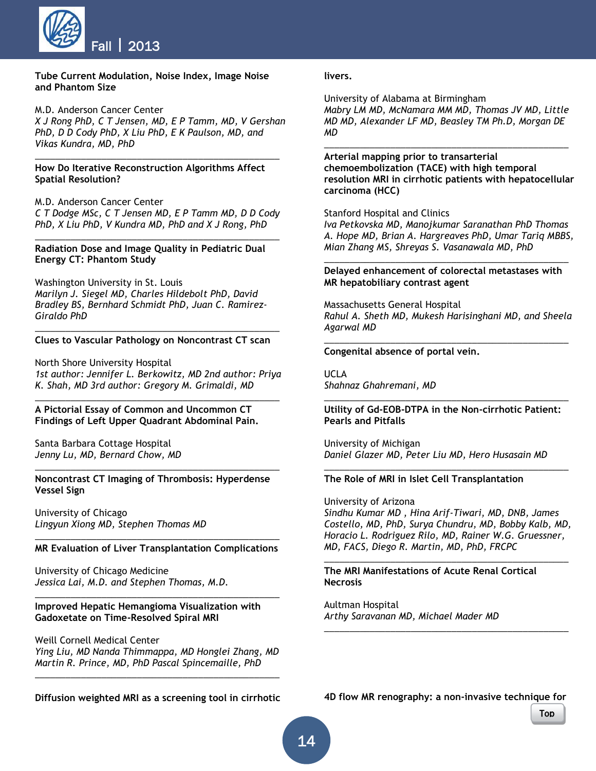

**Tube Current Modulation, Noise Index, Image Noise and Phantom Size**

M.D. Anderson Cancer Center

*X J Rong PhD, C T Jensen, MD, E P Tamm, MD, V Gershan PhD, D D Cody PhD, X Liu PhD, E K Paulson, MD, and Vikas Kundra, MD, PhD*

*\_\_\_\_\_\_\_\_\_\_\_\_\_\_\_\_\_\_\_\_\_\_\_\_\_\_\_\_\_\_\_\_\_\_\_\_\_\_\_\_\_\_\_\_\_\_\_\_*

#### **How Do Iterative Reconstruction Algorithms Affect Spatial Resolution?**

M.D. Anderson Cancer Center

*C T Dodge MSc, C T Jensen MD, E P Tamm MD, D D Cody PhD, X Liu PhD, V Kundra MD, PhD and X J Rong, PhD \_\_\_\_\_\_\_\_\_\_\_\_\_\_\_\_\_\_\_\_\_\_\_\_\_\_\_\_\_\_\_\_\_\_\_\_\_\_\_\_\_\_\_\_\_\_\_\_*

#### **Radiation Dose and Image Quality in Pediatric Dual Energy CT: Phantom Study**

Washington University in St. Louis *Marilyn J. Siegel MD, Charles Hildebolt PhD, David Bradley BS, Bernhard Schmidt PhD, Juan C. Ramirez-Giraldo PhD*

#### *\_\_\_\_\_\_\_\_\_\_\_\_\_\_\_\_\_\_\_\_\_\_\_\_\_\_\_\_\_\_\_\_\_\_\_\_\_\_\_\_\_\_\_\_\_\_\_\_* **Clues to Vascular Pathology on Noncontrast CT scan**

North Shore University Hospital *1st author: Jennifer L. Berkowitz, MD 2nd author: Priya K. Shah, MD 3rd author: Gregory M. Grimaldi, MD*

*\_\_\_\_\_\_\_\_\_\_\_\_\_\_\_\_\_\_\_\_\_\_\_\_\_\_\_\_\_\_\_\_\_\_\_\_\_\_\_\_\_\_\_\_\_\_\_\_*

#### **A Pictorial Essay of Common and Uncommon CT Findings of Left Upper Quadrant Abdominal Pain.**

Santa Barbara Cottage Hospital *Jenny Lu, MD, Bernard Chow, MD*

#### **Noncontrast CT Imaging of Thrombosis: Hyperdense Vessel Sign**

*\_\_\_\_\_\_\_\_\_\_\_\_\_\_\_\_\_\_\_\_\_\_\_\_\_\_\_\_\_\_\_\_\_\_\_\_\_\_\_\_\_\_\_\_\_\_\_\_*

University of Chicago *Lingyun Xiong MD, Stephen Thomas MD*

#### *\_\_\_\_\_\_\_\_\_\_\_\_\_\_\_\_\_\_\_\_\_\_\_\_\_\_\_\_\_\_\_\_\_\_\_\_\_\_\_\_\_\_\_\_\_\_\_\_* **MR Evaluation of Liver Transplantation Complications**

*\_\_\_\_\_\_\_\_\_\_\_\_\_\_\_\_\_\_\_\_\_\_\_\_\_\_\_\_\_\_\_\_\_\_\_\_\_\_\_\_\_\_\_\_\_\_\_\_*

University of Chicago Medicine *Jessica Lai, M.D. and Stephen Thomas, M.D.*

#### **Improved Hepatic Hemangioma Visualization with Gadoxetate on Time-Resolved Spiral MRI**

Weill Cornell Medical Center *Ying Liu, MD Nanda Thimmappa, MD Honglei Zhang, MD Martin R. Prince, MD, PhD Pascal Spincemaille, PhD*

*\_\_\_\_\_\_\_\_\_\_\_\_\_\_\_\_\_\_\_\_\_\_\_\_\_\_\_\_\_\_\_\_\_\_\_\_\_\_\_\_\_\_\_\_\_\_\_\_*

**Diffusion weighted MRI as a screening tool in cirrhotic** 

**livers.**

University of Alabama at Birmingham *Mabry LM MD, McNamara MM MD, Thomas JV MD, Little MD MD, Alexander LF MD, Beasley TM Ph.D, Morgan DE MD*

*\_\_\_\_\_\_\_\_\_\_\_\_\_\_\_\_\_\_\_\_\_\_\_\_\_\_\_\_\_\_\_\_\_\_\_\_\_\_\_\_\_\_\_\_\_\_\_\_*

**Arterial mapping prior to transarterial chemoembolization (TACE) with high temporal resolution MRI in cirrhotic patients with hepatocellular carcinoma (HCC)**

#### Stanford Hospital and Clinics

*Iva Petkovska MD, Manojkumar Saranathan PhD Thomas A. Hope MD, Brian A. Hargreaves PhD, Umar Tariq MBBS, Mian Zhang MS, Shreyas S. Vasanawala MD, PhD*

#### *\_\_\_\_\_\_\_\_\_\_\_\_\_\_\_\_\_\_\_\_\_\_\_\_\_\_\_\_\_\_\_\_\_\_\_\_\_\_\_\_\_\_\_\_\_\_\_\_* **Delayed enhancement of colorectal metastases with MR hepatobiliary contrast agent**

Massachusetts General Hospital *Rahul A. Sheth MD, Mukesh Harisinghani MD, and Sheela Agarwal MD*

*\_\_\_\_\_\_\_\_\_\_\_\_\_\_\_\_\_\_\_\_\_\_\_\_\_\_\_\_\_\_\_\_\_\_\_\_\_\_\_\_\_\_\_\_\_\_\_\_*

#### **Congenital absence of portal vein.**

UCLA *Shahnaz Ghahremani, MD*

#### *\_\_\_\_\_\_\_\_\_\_\_\_\_\_\_\_\_\_\_\_\_\_\_\_\_\_\_\_\_\_\_\_\_\_\_\_\_\_\_\_\_\_\_\_\_\_\_\_* **Utility of Gd-EOB-DTPA in the Non-cirrhotic Patient: Pearls and Pitfalls**

University of Michigan *Daniel Glazer MD, Peter Liu MD, Hero Husasain MD*

#### **The Role of MRI in Islet Cell Transplantation**

University of Arizona *Sindhu Kumar MD , Hina Arif-Tiwari, MD, DNB, James Costello, MD, PhD, Surya Chundru, MD, Bobby Kalb, MD, Horacio L. Rodriguez Rilo, MD, Rainer W.G. Gruessner, MD, FACS, Diego R. Martin, MD, PhD, FRCPC*

*\_\_\_\_\_\_\_\_\_\_\_\_\_\_\_\_\_\_\_\_\_\_\_\_\_\_\_\_\_\_\_\_\_\_\_\_\_\_\_\_\_\_\_\_\_\_\_\_*

*\_\_\_\_\_\_\_\_\_\_\_\_\_\_\_\_\_\_\_\_\_\_\_\_\_\_\_\_\_\_\_\_\_\_\_\_\_\_\_\_\_\_\_\_\_\_\_\_*

*\_\_\_\_\_\_\_\_\_\_\_\_\_\_\_\_\_\_\_\_\_\_\_\_\_\_\_\_\_\_\_\_\_\_\_\_\_\_\_\_\_\_\_\_\_\_\_\_*

#### **The MRI Manifestations of Acute Renal Cortical Necrosis**

Aultman Hospital *Arthy Saravanan MD, Michael Mader MD*

**4D flow MR renography: a non-invasive technique for**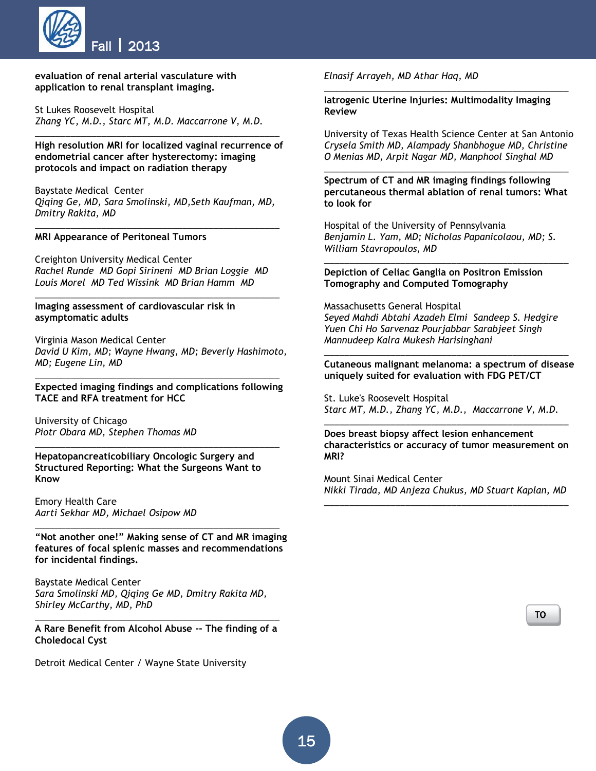

#### **evaluation of renal arterial vasculature with application to renal transplant imaging.**

St Lukes Roosevelt Hospital *Zhang YC, M.D., Starc MT, M.D. Maccarrone V, M.D.*

**High resolution MRI for localized vaginal recurrence of endometrial cancer after hysterectomy: imaging protocols and impact on radiation therapy**

*\_\_\_\_\_\_\_\_\_\_\_\_\_\_\_\_\_\_\_\_\_\_\_\_\_\_\_\_\_\_\_\_\_\_\_\_\_\_\_\_\_\_\_\_\_\_\_\_*

Baystate Medical Center *Qiqing Ge, MD, Sara Smolinski, MD,Seth Kaufman, MD, Dmitry Rakita, MD*

*\_\_\_\_\_\_\_\_\_\_\_\_\_\_\_\_\_\_\_\_\_\_\_\_\_\_\_\_\_\_\_\_\_\_\_\_\_\_\_\_\_\_\_\_\_\_\_\_*

#### **MRI Appearance of Peritoneal Tumors**

Creighton University Medical Center *Rachel Runde MD Gopi Sirineni MD Brian Loggie MD Louis Morel MD Ted Wissink MD Brian Hamm MD*

*\_\_\_\_\_\_\_\_\_\_\_\_\_\_\_\_\_\_\_\_\_\_\_\_\_\_\_\_\_\_\_\_\_\_\_\_\_\_\_\_\_\_\_\_\_\_\_\_*

#### **Imaging assessment of cardiovascular risk in asymptomatic adults**

Virginia Mason Medical Center *David U Kim, MD; Wayne Hwang, MD; Beverly Hashimoto, MD; Eugene Lin, MD* 

*\_\_\_\_\_\_\_\_\_\_\_\_\_\_\_\_\_\_\_\_\_\_\_\_\_\_\_\_\_\_\_\_\_\_\_\_\_\_\_\_\_\_\_\_\_\_\_\_* **Expected imaging findings and complications following TACE and RFA treatment for HCC**

*\_\_\_\_\_\_\_\_\_\_\_\_\_\_\_\_\_\_\_\_\_\_\_\_\_\_\_\_\_\_\_\_\_\_\_\_\_\_\_\_\_\_\_\_\_\_\_\_*

University of Chicago *Piotr Obara MD, Stephen Thomas MD*

**Hepatopancreaticobiliary Oncologic Surgery and Structured Reporting: What the Surgeons Want to Know**

Emory Health Care *Aarti Sekhar MD, Michael Osipow MD*

**"Not another one!" Making sense of CT and MR imaging features of focal splenic masses and recommendations for incidental findings.**

*\_\_\_\_\_\_\_\_\_\_\_\_\_\_\_\_\_\_\_\_\_\_\_\_\_\_\_\_\_\_\_\_\_\_\_\_\_\_\_\_\_\_\_\_\_\_\_\_*

Baystate Medical Center *Sara Smolinski MD, Qiqing Ge MD, Dmitry Rakita MD, Shirley McCarthy, MD, PhD*

*\_\_\_\_\_\_\_\_\_\_\_\_\_\_\_\_\_\_\_\_\_\_\_\_\_\_\_\_\_\_\_\_\_\_\_\_\_\_\_\_\_\_\_\_\_\_\_\_* **A Rare Benefit from Alcohol Abuse -- The finding of a Choledocal Cyst**

Detroit Medical Center / Wayne State University

*Elnasif Arrayeh, MD Athar Haq, MD*

**Iatrogenic Uterine Injuries: Multimodality Imaging Review**

*\_\_\_\_\_\_\_\_\_\_\_\_\_\_\_\_\_\_\_\_\_\_\_\_\_\_\_\_\_\_\_\_\_\_\_\_\_\_\_\_\_\_\_\_\_\_\_\_*

University of Texas Health Science Center at San Antonio *Crysela Smith MD, Alampady Shanbhogue MD, Christine O Menias MD, Arpit Nagar MD, Manphool Singhal MD*

**Spectrum of CT and MR imaging findings following percutaneous thermal ablation of renal tumors: What to look for**

*\_\_\_\_\_\_\_\_\_\_\_\_\_\_\_\_\_\_\_\_\_\_\_\_\_\_\_\_\_\_\_\_\_\_\_\_\_\_\_\_\_\_\_\_\_\_\_\_*

Hospital of the University of Pennsylvania *Benjamin L. Yam, MD; Nicholas Papanicolaou, MD; S. William Stavropoulos, MD*

*\_\_\_\_\_\_\_\_\_\_\_\_\_\_\_\_\_\_\_\_\_\_\_\_\_\_\_\_\_\_\_\_\_\_\_\_\_\_\_\_\_\_\_\_\_\_\_\_*

**Depiction of Celiac Ganglia on Positron Emission Tomography and Computed Tomography**

Massachusetts General Hospital *Seyed Mahdi Abtahi Azadeh Elmi Sandeep S. Hedgire Yuen Chi Ho Sarvenaz Pourjabbar Sarabjeet Singh Mannudeep Kalra Mukesh Harisinghani*

*\_\_\_\_\_\_\_\_\_\_\_\_\_\_\_\_\_\_\_\_\_\_\_\_\_\_\_\_\_\_\_\_\_\_\_\_\_\_\_\_\_\_\_\_\_\_\_\_* **Cutaneous malignant melanoma: a spectrum of disease uniquely suited for evaluation with FDG PET/CT**

St. Luke's Roosevelt Hospital *Starc MT, M.D., Zhang YC, M.D., Maccarrone V, M.D.*

**Does breast biopsy affect lesion enhancement characteristics or accuracy of tumor measurement on MRI?**

*\_\_\_\_\_\_\_\_\_\_\_\_\_\_\_\_\_\_\_\_\_\_\_\_\_\_\_\_\_\_\_\_\_\_\_\_\_\_\_\_\_\_\_\_\_\_\_\_*

Mount Sinai Medical Center *Nikki Tirada, MD Anjeza Chukus, MD Stuart Kaplan, MD \_\_\_\_\_\_\_\_\_\_\_\_\_\_\_\_\_\_\_\_\_\_\_\_\_\_\_\_\_\_\_\_\_\_\_\_\_\_\_\_\_\_\_\_\_\_\_\_*

> [TO](#page-0-1) [P](#page-0-1)